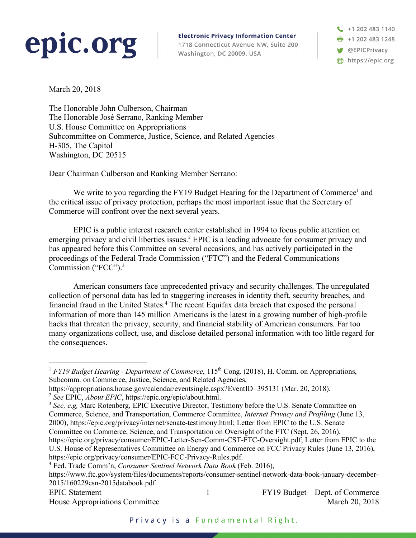## epic.org

**Electronic Privacy Information Center** 1718 Connecticut Avenue NW, Suite 200 Washington, DC 20009, USA

 $\frac{1}{2}$  +1 202 483 1140 **F** +1 202 483 1248 **W** @EPICPrivacy https://epic.org

March 20, 2018

The Honorable John Culberson, Chairman The Honorable José Serrano, Ranking Member U.S. House Committee on Appropriations Subcommittee on Commerce, Justice, Science, and Related Agencies H-305, The Capitol Washington, DC 20515

Dear Chairman Culberson and Ranking Member Serrano:

We write to you regarding the FY19 Budget Hearing for the Department of Commerce<sup>1</sup> and the critical issue of privacy protection, perhaps the most important issue that the Secretary of Commerce will confront over the next several years.

EPIC is a public interest research center established in 1994 to focus public attention on emerging privacy and civil liberties issues.<sup>2</sup> EPIC is a leading advocate for consumer privacy and has appeared before this Committee on several occasions, and has actively participated in the proceedings of the Federal Trade Commission ("FTC") and the Federal Communications Commission ("FCC").<sup>3</sup>

American consumers face unprecedented privacy and security challenges. The unregulated collection of personal data has led to staggering increases in identity theft, security breaches, and financial fraud in the United States.4 The recent Equifax data breach that exposed the personal information of more than 145 million Americans is the latest in a growing number of high-profile hacks that threaten the privacy, security, and financial stability of American consumers. Far too many organizations collect, use, and disclose detailed personal information with too little regard for the consequences.

EPIC Statement 1 FY19 Budget – Dept. of Commerce House Appropriations Committee March 20, 2018

<sup>&</sup>lt;sup>1</sup> *FY19 Budget Hearing - Department of Commerce*, 115<sup>th</sup> Cong. (2018), H. Comm. on Appropriations, Subcomm. on Commerce, Justice, Science, and Related Agencies,

https://appropriations.house.gov/calendar/eventsingle.aspx?EventID=395131 (Mar. 20, 2018).

<sup>2</sup> *See* EPIC, *About EPIC*, https://epic.org/epic/about.html.

<sup>&</sup>lt;sup>3</sup> See, e.g, Marc Rotenberg, EPIC Executive Director, Testimony before the U.S. Senate Committee on Commerce, Science, and Transportation, Commerce Committee, *Internet Privacy and Profiling* (June 13, 2000), https://epic.org/privacy/internet/senate-testimony.html; Letter from EPIC to the U.S. Senate Committee on Commerce, Science, and Transportation on Oversight of the FTC (Sept. 26, 2016), https://epic.org/privacy/consumer/EPIC-Letter-Sen-Comm-CST-FTC-Oversight.pdf; Letter from EPIC to the U.S. House of Representatives Committee on Energy and Commerce on FCC Privacy Rules (June 13, 2016),

https://epic.org/privacy/consumer/EPIC-FCC-Privacy-Rules.pdf. <sup>4</sup> Fed. Trade Comm'n, *Consumer Sentinel Network Data Book* (Feb. 2016),

https://www.ftc.gov/system/files/documents/reports/consumer-sentinel-network-data-book-january-december-2015/160229csn-2015databook.pdf.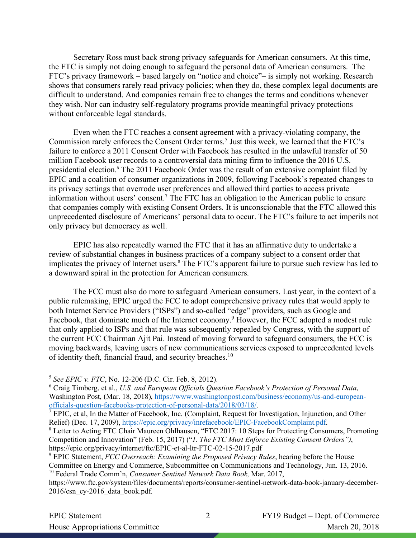Secretary Ross must back strong privacy safeguards for American consumers. At this time, the FTC is simply not doing enough to safeguard the personal data of American consumers. The FTC's privacy framework – based largely on "notice and choice"– is simply not working. Research shows that consumers rarely read privacy policies; when they do, these complex legal documents are difficult to understand. And companies remain free to changes the terms and conditions whenever they wish. Nor can industry self-regulatory programs provide meaningful privacy protections without enforceable legal standards.

Even when the FTC reaches a consent agreement with a privacy-violating company, the Commission rarely enforces the Consent Order terms.<sup>5</sup> Just this week, we learned that the FTC's failure to enforce a 2011 Consent Order with Facebook has resulted in the unlawful transfer of 50 million Facebook user records to a controversial data mining firm to influence the 2016 U.S. presidential election.<sup>6</sup> The 2011 Facebook Order was the result of an extensive complaint filed by EPIC and a coalition of consumer organizations in 2009, following Facebook's repeated changes to its privacy settings that overrode user preferences and allowed third parties to access private information without users' consent. <sup>7</sup> The FTC has an obligation to the American public to ensure that companies comply with existing Consent Orders. It is unconscionable that the FTC allowed this unprecedented disclosure of Americans' personal data to occur. The FTC's failure to act imperils not only privacy but democracy as well.

EPIC has also repeatedly warned the FTC that it has an affirmative duty to undertake a review of substantial changes in business practices of a company subject to a consent order that implicates the privacy of Internet users.<sup>8</sup> The FTC's apparent failure to pursue such review has led to a downward spiral in the protection for American consumers.

The FCC must also do more to safeguard American consumers. Last year, in the context of a public rulemaking, EPIC urged the FCC to adopt comprehensive privacy rules that would apply to both Internet Service Providers ("ISPs") and so-called "edge" providers, such as Google and Facebook, that dominate much of the Internet economy.<sup>9</sup> However, the FCC adopted a modest rule that only applied to ISPs and that rule was subsequently repealed by Congress, with the support of the current FCC Chairman Ajit Pai. Instead of moving forward to safeguard consumers, the FCC is moving backwards, leaving users of new communications services exposed to unprecedented levels of identity theft, financial fraud, and security breaches.10

 <sup>5</sup> *See EPIC v. FTC*, No. 12-206 (D.C. Cir. Feb. 8, 2012).

<sup>6</sup> Craig Timberg, et al., *U.S. and European Officials Question Facebook's Protection of Personal Data*, Washington Post, (Mar. 18, 2018), https://www.washingtonpost.com/business/economy/us-and-europeanofficials-question-facebooks-protection-of-personal-data/2018/03/18/.

<sup>&</sup>lt;sup>7</sup> EPIC, et al, In the Matter of Facebook, Inc. (Complaint, Request for Investigation, Injunction, and Other Relief) (Dec. 17, 2009), https://epic.org/privacy/inrefacebook/EPIC-FacebookComplaint.pdf.

<sup>8</sup> Letter to Acting FTC Chair Maureen Ohlhausen, "FTC 2017: 10 Steps for Protecting Consumers, Promoting Competition and Innovation" (Feb. 15, 2017) ("*1. The FTC Must Enforce Existing Consent Orders")*, https://epic.org/privacy/internet/ftc/EPIC-et-al-ltr-FTC-02-15-2017.pdf

<sup>9</sup> EPIC Statement, *FCC Overreach: Examining the Proposed Privacy Rules*, hearing before the House Committee on Energy and Commerce, Subcommittee on Communications and Technology, Jun. 13, 2016. <sup>10</sup> Federal Trade Comm'n, *Consumer Sentinel Network Data Book,* Mar. 2017,

https://www.ftc.gov/system/files/documents/reports/consumer-sentinel-network-data-book-january-december-2016/csn\_cy-2016\_data\_book.pdf.